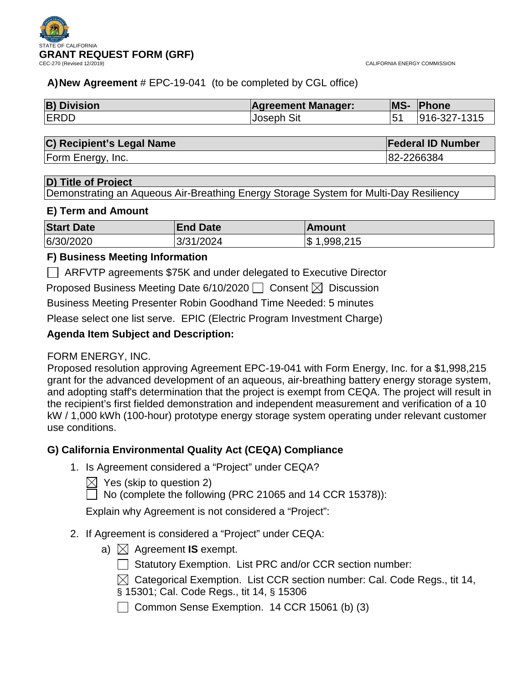

## **A)New Agreement** # EPC-19-041 (to be completed by CGL office)

| <b>B) Division</b> | <b>Agreement Manager:</b> | <b>MS-</b> | <b>Phone</b> |
|--------------------|---------------------------|------------|--------------|
| <b>ERDD</b>        | <b>Joseph Sit</b>         |            | 916-327-1315 |

### **C) Recipient's Legal Name Federal ID Number**

Form Energy, Inc. 82-2266384

### **D) Title of Project**

Demonstrating an Aqueous Air-Breathing Energy Storage System for Multi-Day Resiliency

### **E) Term and Amount**

| <b>Start Date</b> | <b>End Date</b> | <b>IAmount</b>                         |
|-------------------|-----------------|----------------------------------------|
| 6/30/2020         | 3/31/2024       | ,998,215<br>$\boldsymbol{\mathsf{\$}}$ |

### **F) Business Meeting Information**

ARFVTP agreements \$75K and under delegated to Executive Director

Proposed Business Meeting Date 6/10/2020  $\Box$  Consent  $\boxtimes$  Discussion

Business Meeting Presenter Robin Goodhand Time Needed: 5 minutes

Please select one list serve. EPIC (Electric Program Investment Charge)

## **Agenda Item Subject and Description:**

## FORM ENERGY, INC.

Proposed resolution approving Agreement EPC-19-041 with Form Energy, Inc. for a \$1,998,215 grant for the advanced development of an aqueous, air-breathing battery energy storage system, and adopting staff's determination that the project is exempt from CEQA. The project will result in the recipient's first fielded demonstration and independent measurement and verification of a 10 kW / 1,000 kWh (100-hour) prototype energy storage system operating under relevant customer use conditions.

## **G) California Environmental Quality Act (CEQA) Compliance**

1. Is Agreement considered a "Project" under CEQA?

 $\bowtie$  Yes (skip to question 2)

 $\Box$  No (complete the following (PRC 21065 and 14 CCR 15378)):

Explain why Agreement is not considered a "Project":

## 2. If Agreement is considered a "Project" under CEQA:

a)  $\boxtimes$  Agreement **IS** exempt.

Statutory Exemption. List PRC and/or CCR section number:

 $\boxtimes$  Categorical Exemption. List CCR section number: Cal. Code Regs., tit 14, § 15301; Cal. Code Regs., tit 14, § 15306

Common Sense Exemption. 14 CCR 15061 (b) (3)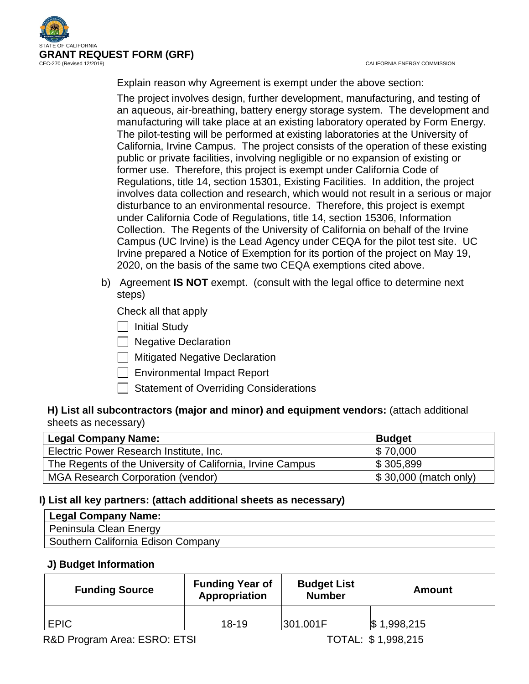

CALIFORNIA ENERGY COMMISSION

Explain reason why Agreement is exempt under the above section:

The project involves design, further development, manufacturing, and testing of an aqueous, air-breathing, battery energy storage system. The development and manufacturing will take place at an existing laboratory operated by Form Energy. The pilot-testing will be performed at existing laboratories at the University of California, Irvine Campus. The project consists of the operation of these existing public or private facilities, involving negligible or no expansion of existing or former use. Therefore, this project is exempt under California Code of Regulations, title 14, section 15301, Existing Facilities. In addition, the project involves data collection and research, which would not result in a serious or major disturbance to an environmental resource. Therefore, this project is exempt under California Code of Regulations, title 14, section 15306, Information Collection. The Regents of the University of California on behalf of the Irvine Campus (UC Irvine) is the Lead Agency under CEQA for the pilot test site. UC Irvine prepared a Notice of Exemption for its portion of the project on May 19, 2020, on the basis of the same two CEQA exemptions cited above.

b) Agreement **IS NOT** exempt. (consult with the legal office to determine next steps)

Check all that apply

- | | Initial Study
- □ Negative Declaration
- $\Box$  Mitigated Negative Declaration
- Environmental Impact Report
- Statement of Overriding Considerations

## **H) List all subcontractors (major and minor) and equipment vendors:** (attach additional sheets as necessary)

| <b>Legal Company Name:</b>                                 | <b>Budget</b>                  |
|------------------------------------------------------------|--------------------------------|
| Electric Power Research Institute, Inc.                    | $\frac{1}{2}$ \$70,000         |
| The Regents of the University of California, Irvine Campus | $\frac{1}{2}$ \$ 305,899       |
| <b>MGA Research Corporation (vendor)</b>                   | $\vert$ \$ 30,000 (match only) |

## **I) List all key partners: (attach additional sheets as necessary)**

| Legal Company Name:                |
|------------------------------------|
| Peninsula Clean Energy             |
| Southern California Edison Company |

## **J) Budget Information**

| <b>Funding Source</b> | <b>Funding Year of</b><br>Appropriation | <b>Budget List</b><br><b>Number</b> | <b>Amount</b>    |
|-----------------------|-----------------------------------------|-------------------------------------|------------------|
| <b>EPIC</b>           | $18 - 19$                               | 301.001F                            | 1,998,215<br>1\$ |
|                       |                                         |                                     |                  |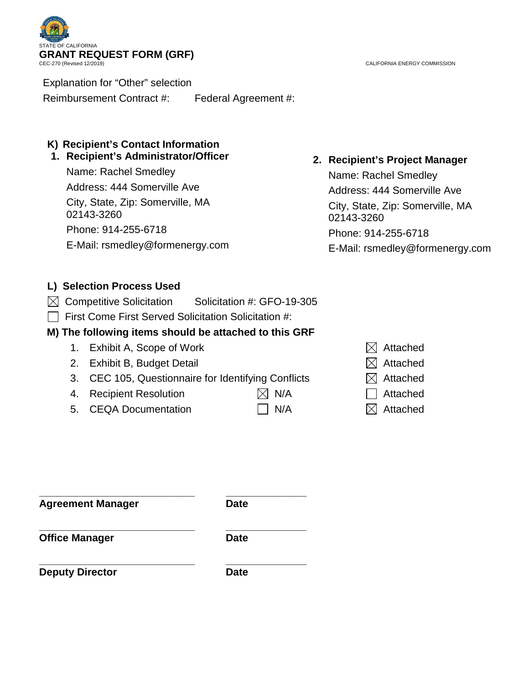

Explanation for "Other" selection

Reimbursement Contract #: Federal Agreement #:

## **K) Recipient's Contact Information**

## **1. Recipient's Administrator/Officer**

Name: Rachel Smedley Address: 444 Somerville Ave City, State, Zip: Somerville, MA 02143-3260 Phone: 914-255-6718 E-Mail: rsmedley@formenergy.com

## **2. Recipient's Project Manager**

Name: Rachel Smedley Address: 444 Somerville Ave City, State, Zip: Somerville, MA 02143-3260 Phone: 914-255-6718 E-Mail: rsmedley@formenergy.com

## **L) Selection Process Used**

- $\boxtimes$  Competitive Solicitation Solicitation #: GFO-19-305
- $\Box$  First Come First Served Solicitation Solicitation #:

## **M) The following items should be attached to this GRF**

- 1. Exhibit A, Scope of Work  $\boxtimes$  Attached
- 2. Exhibit B, Budget Detail  $\boxtimes$  Attached
- 3. CEC 105, Questionnaire for Identifying Conflicts  $\boxtimes$  Attached
- 4. Recipient Resolution  $\boxtimes$  N/A  $\Box$  Attached
- 5. CEQA Documentation  $\Box$  N/A  $\boxtimes$  Attached
- 
- 
- 
- 
- 
- 

**\_\_\_\_\_\_\_\_\_\_\_\_\_\_\_\_\_\_\_\_\_\_\_\_\_\_\_ \_\_\_\_\_\_\_\_\_\_\_\_\_\_ Agreement Manager Date**

**\_\_\_\_\_\_\_\_\_\_\_\_\_\_\_\_\_\_\_\_\_\_\_\_\_\_\_ \_\_\_\_\_\_\_\_\_\_\_\_\_\_ Office Manager Date** 

**\_\_\_\_\_\_\_\_\_\_\_\_\_\_\_\_\_\_\_\_\_\_\_\_\_\_\_ \_\_\_\_\_\_\_\_\_\_\_\_\_\_ Deputy Director Date** 

CALIFORNIA ENERGY COMMISSION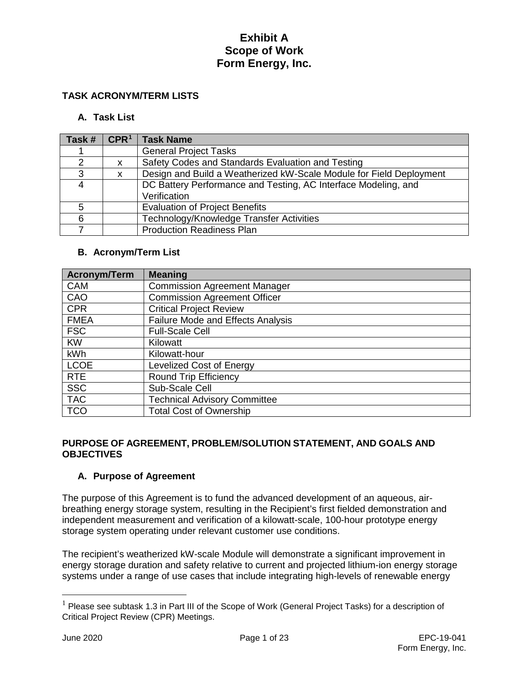### **TASK ACRONYM/TERM LISTS**

#### **A. Task List**

| Task # | CPR <sup>1</sup> | <b>Task Name</b>                                                    |
|--------|------------------|---------------------------------------------------------------------|
|        |                  | <b>General Project Tasks</b>                                        |
| C      | x                | Safety Codes and Standards Evaluation and Testing                   |
| 3      | x                | Design and Build a Weatherized kW-Scale Module for Field Deployment |
| 4      |                  | DC Battery Performance and Testing, AC Interface Modeling, and      |
|        |                  | Verification                                                        |
| 5      |                  | <b>Evaluation of Project Benefits</b>                               |
| 6      |                  | Technology/Knowledge Transfer Activities                            |
|        |                  | <b>Production Readiness Plan</b>                                    |

#### **B. Acronym/Term List**

| <b>Acronym/Term</b> | <b>Meaning</b>                           |  |
|---------------------|------------------------------------------|--|
| <b>CAM</b>          | <b>Commission Agreement Manager</b>      |  |
| CAO                 | <b>Commission Agreement Officer</b>      |  |
| <b>CPR</b>          | <b>Critical Project Review</b>           |  |
| <b>FMEA</b>         | <b>Failure Mode and Effects Analysis</b> |  |
| <b>FSC</b>          | <b>Full-Scale Cell</b>                   |  |
| <b>KW</b>           | Kilowatt                                 |  |
| kWh                 | Kilowatt-hour                            |  |
| <b>LCOE</b>         | <b>Levelized Cost of Energy</b>          |  |
| <b>RTE</b>          | <b>Round Trip Efficiency</b>             |  |
| <b>SSC</b>          | Sub-Scale Cell                           |  |
| <b>TAC</b>          | <b>Technical Advisory Committee</b>      |  |
| <b>TCO</b>          | <b>Total Cost of Ownership</b>           |  |

#### **PURPOSE OF AGREEMENT, PROBLEM/SOLUTION STATEMENT, AND GOALS AND OBJECTIVES**

### **A. Purpose of Agreement**

The purpose of this Agreement is to fund the advanced development of an aqueous, airbreathing energy storage system, resulting in the Recipient's first fielded demonstration and independent measurement and verification of a kilowatt-scale, 100-hour prototype energy storage system operating under relevant customer use conditions.

The recipient's weatherized kW-scale Module will demonstrate a significant improvement in energy storage duration and safety relative to current and projected lithium-ion energy storage systems under a range of use cases that include integrating high-levels of renewable energy

<span id="page-3-0"></span> $1$  Please see subtask 1.3 in Part III of the Scope of Work (General Project Tasks) for a description of Critical Project Review (CPR) Meetings.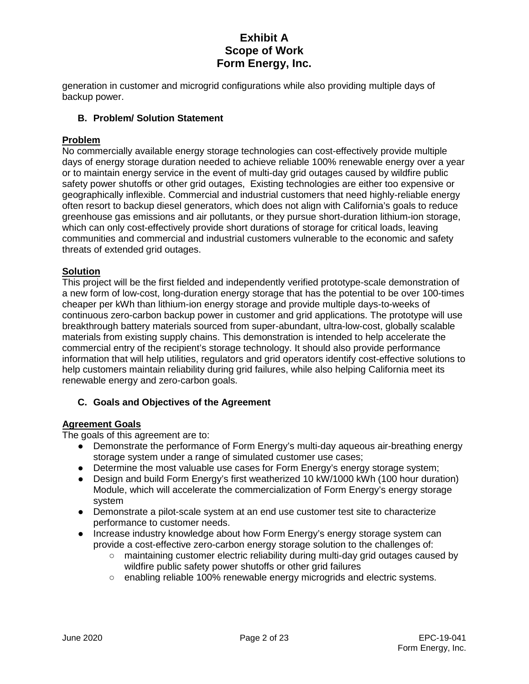generation in customer and microgrid configurations while also providing multiple days of backup power.

### **B. Problem/ Solution Statement**

### **Problem**

No commercially available energy storage technologies can cost-effectively provide multiple days of energy storage duration needed to achieve reliable 100% renewable energy over a year or to maintain energy service in the event of multi-day grid outages caused by wildfire public safety power shutoffs or other grid outages, Existing technologies are either too expensive or geographically inflexible. Commercial and industrial customers that need highly-reliable energy often resort to backup diesel generators, which does not align with California's goals to reduce greenhouse gas emissions and air pollutants, or they pursue short-duration lithium-ion storage, which can only cost-effectively provide short durations of storage for critical loads, leaving communities and commercial and industrial customers vulnerable to the economic and safety threats of extended grid outages.

### **Solution**

This project will be the first fielded and independently verified prototype-scale demonstration of a new form of low-cost, long-duration energy storage that has the potential to be over 100-times cheaper per kWh than lithium-ion energy storage and provide multiple days-to-weeks of continuous zero-carbon backup power in customer and grid applications. The prototype will use breakthrough battery materials sourced from super-abundant, ultra-low-cost, globally scalable materials from existing supply chains. This demonstration is intended to help accelerate the commercial entry of the recipient's storage technology. It should also provide performance information that will help utilities, regulators and grid operators identify cost-effective solutions to help customers maintain reliability during grid failures, while also helping California meet its renewable energy and zero-carbon goals.

### **C. Goals and Objectives of the Agreement**

### **Agreement Goals**

The goals of this agreement are to:

- Demonstrate the performance of Form Energy's multi-day aqueous air-breathing energy storage system under a range of simulated customer use cases;
- Determine the most valuable use cases for Form Energy's energy storage system;
- Design and build Form Energy's first weatherized 10 kW/1000 kWh (100 hour duration) Module, which will accelerate the commercialization of Form Energy's energy storage system
- Demonstrate a pilot-scale system at an end use customer test site to characterize performance to customer needs.
- Increase industry knowledge about how Form Energy's energy storage system can provide a cost-effective zero-carbon energy storage solution to the challenges of:
	- maintaining customer electric reliability during multi-day grid outages caused by wildfire public safety power shutoffs or other grid failures
	- enabling reliable 100% renewable energy microgrids and electric systems.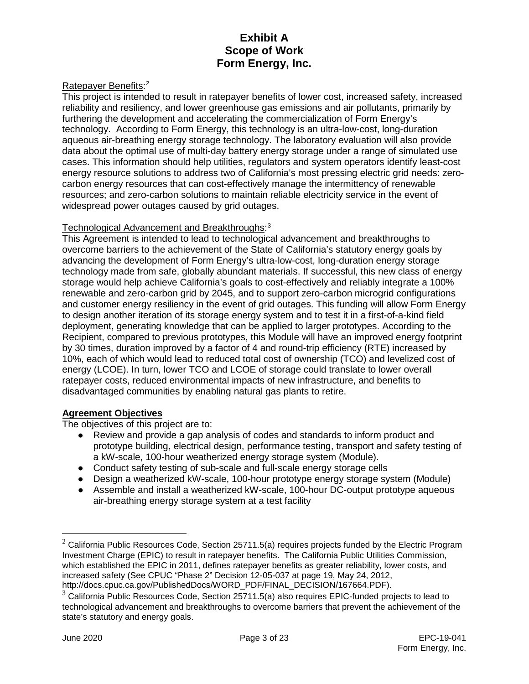### Ratepayer Benefits:<sup>[2](#page-5-0)</sup>

This project is intended to result in ratepayer benefits of lower cost, increased safety, increased reliability and resiliency, and lower greenhouse gas emissions and air pollutants, primarily by furthering the development and accelerating the commercialization of Form Energy's technology. According to Form Energy, this technology is an ultra-low-cost, long-duration aqueous air-breathing energy storage technology. The laboratory evaluation will also provide data about the optimal use of multi-day battery energy storage under a range of simulated use cases. This information should help utilities, regulators and system operators identify least-cost energy resource solutions to address two of California's most pressing electric grid needs: zerocarbon energy resources that can cost-effectively manage the intermittency of renewable resources; and zero-carbon solutions to maintain reliable electricity service in the event of widespread power outages caused by grid outages.

#### Technological Advancement and Breakthroughs: [3](#page-5-1)

This Agreement is intended to lead to technological advancement and breakthroughs to overcome barriers to the achievement of the State of California's statutory energy goals by advancing the development of Form Energy's ultra-low-cost, long-duration energy storage technology made from safe, globally abundant materials. If successful, this new class of energy storage would help achieve California's goals to cost-effectively and reliably integrate a 100% renewable and zero-carbon grid by 2045, and to support zero-carbon microgrid configurations and customer energy resiliency in the event of grid outages. This funding will allow Form Energy to design another iteration of its storage energy system and to test it in a first-of-a-kind field deployment, generating knowledge that can be applied to larger prototypes. According to the Recipient, compared to previous prototypes, this Module will have an improved energy footprint by 30 times, duration improved by a factor of 4 and round-trip efficiency (RTE) increased by 10%, each of which would lead to reduced total cost of ownership (TCO) and levelized cost of energy (LCOE). In turn, lower TCO and LCOE of storage could translate to lower overall ratepayer costs, reduced environmental impacts of new infrastructure, and benefits to disadvantaged communities by enabling natural gas plants to retire.

### **Agreement Objectives**

The objectives of this project are to:

- Review and provide a gap analysis of codes and standards to inform product and prototype building, electrical design, performance testing, transport and safety testing of a kW-scale, 100-hour weatherized energy storage system (Module).
- Conduct safety testing of sub-scale and full-scale energy storage cells
- Design a weatherized kW-scale, 100-hour prototype energy storage system (Module)
- Assemble and install a weatherized kW-scale, 100-hour DC-output prototype aqueous air-breathing energy storage system at a test facility

<span id="page-5-0"></span> $2$  California Public Resources Code, Section 25711.5(a) requires projects funded by the Electric Program Investment Charge (EPIC) to result in ratepayer benefits. The California Public Utilities Commission, which established the EPIC in 2011, defines ratepayer benefits as greater reliability, lower costs, and increased safety (See CPUC "Phase 2" Decision 12-05-037 at page 19, May 24, 2012, http://docs.cpuc.ca.gov/PublishedDocs/WORD\_PDF/FINAL\_DECISION/167664.PDF).

<span id="page-5-1"></span> $3$  California Public Resources Code, Section 25711.5(a) also requires EPIC-funded projects to lead to technological advancement and breakthroughs to overcome barriers that prevent the achievement of the state's statutory and energy goals.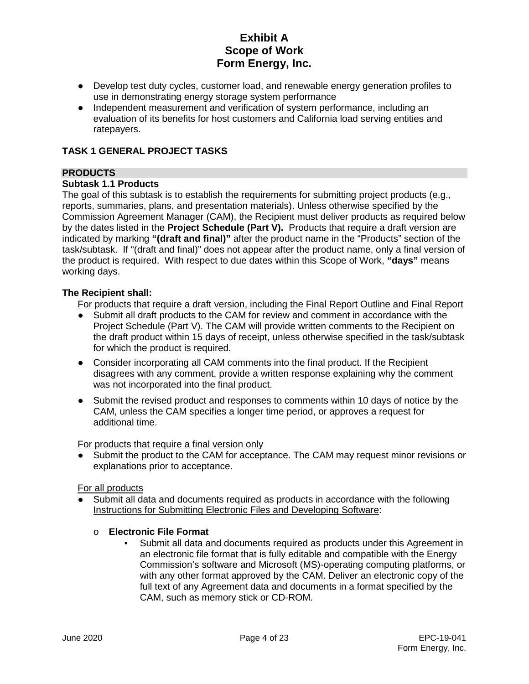- Develop test duty cycles, customer load, and renewable energy generation profiles to use in demonstrating energy storage system performance
- Independent measurement and verification of system performance, including an evaluation of its benefits for host customers and California load serving entities and ratepayers.

### **TASK 1 GENERAL PROJECT TASKS**

### **PRODUCTS**

### **Subtask 1.1 Products**

The goal of this subtask is to establish the requirements for submitting project products (e.g., reports, summaries, plans, and presentation materials). Unless otherwise specified by the Commission Agreement Manager (CAM), the Recipient must deliver products as required below by the dates listed in the **Project Schedule (Part V).** Products that require a draft version are indicated by marking **"(draft and final)"** after the product name in the "Products" section of the task/subtask. If "(draft and final)" does not appear after the product name, only a final version of the product is required. With respect to due dates within this Scope of Work, **"days"** means working days.

### **The Recipient shall:**

For products that require a draft version, including the Final Report Outline and Final Report

- Submit all draft products to the CAM for review and comment in accordance with the Project Schedule (Part V). The CAM will provide written comments to the Recipient on the draft product within 15 days of receipt, unless otherwise specified in the task/subtask for which the product is required.
- Consider incorporating all CAM comments into the final product. If the Recipient disagrees with any comment, provide a written response explaining why the comment was not incorporated into the final product.
- Submit the revised product and responses to comments within 10 days of notice by the CAM, unless the CAM specifies a longer time period, or approves a request for additional time.

For products that require a final version only

• Submit the product to the CAM for acceptance. The CAM may request minor revisions or explanations prior to acceptance.

#### For all products

Submit all data and documents required as products in accordance with the following Instructions for Submitting Electronic Files and Developing Software:

# o **Electronic File Format**

Submit all data and documents required as products under this Agreement in an electronic file format that is fully editable and compatible with the Energy Commission's software and Microsoft (MS)-operating computing platforms, or with any other format approved by the CAM. Deliver an electronic copy of the full text of any Agreement data and documents in a format specified by the CAM, such as memory stick or CD-ROM.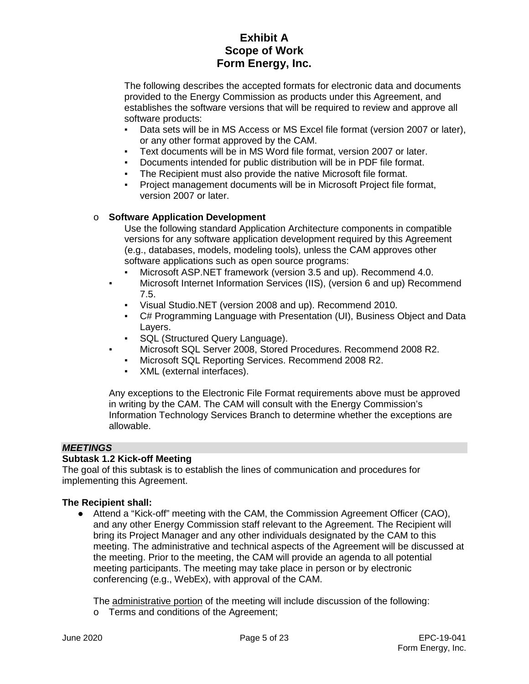The following describes the accepted formats for electronic data and documents provided to the Energy Commission as products under this Agreement, and establishes the software versions that will be required to review and approve all software products:

- Data sets will be in MS Access or MS Excel file format (version 2007 or later), or any other format approved by the CAM.
- Text documents will be in MS Word file format, version 2007 or later.
- Documents intended for public distribution will be in PDF file format.
- The Recipient must also provide the native Microsoft file format.
- Project management documents will be in Microsoft Project file format, version 2007 or later.

### o **Software Application Development**

Use the following standard Application Architecture components in compatible versions for any software application development required by this Agreement (e.g., databases, models, modeling tools), unless the CAM approves other software applications such as open source programs:

- Microsoft ASP.NET framework (version 3.5 and up). Recommend 4.0. ▪ Microsoft Internet Information Services (IIS), (version 6 and up) Recommend 7.5.
	- Visual Studio.NET (version 2008 and up). Recommend 2010.
	- C# Programming Language with Presentation (UI), Business Object and Data Layers.
	- SQL (Structured Query Language).
- Microsoft SQL Server 2008, Stored Procedures. Recommend 2008 R2.
	- Microsoft SQL Reporting Services. Recommend 2008 R2.
	- XML (external interfaces).

Any exceptions to the Electronic File Format requirements above must be approved in writing by the CAM. The CAM will consult with the Energy Commission's Information Technology Services Branch to determine whether the exceptions are allowable.

#### *MEETINGS*

### **Subtask 1.2 Kick-off Meeting**

The goal of this subtask is to establish the lines of communication and procedures for implementing this Agreement.

#### **The Recipient shall:**

● Attend a "Kick-off" meeting with the CAM, the Commission Agreement Officer (CAO), and any other Energy Commission staff relevant to the Agreement. The Recipient will bring its Project Manager and any other individuals designated by the CAM to this meeting. The administrative and technical aspects of the Agreement will be discussed at the meeting. Prior to the meeting, the CAM will provide an agenda to all potential meeting participants. The meeting may take place in person or by electronic conferencing (e.g., WebEx), with approval of the CAM.

The administrative portion of the meeting will include discussion of the following: o Terms and conditions of the Agreement;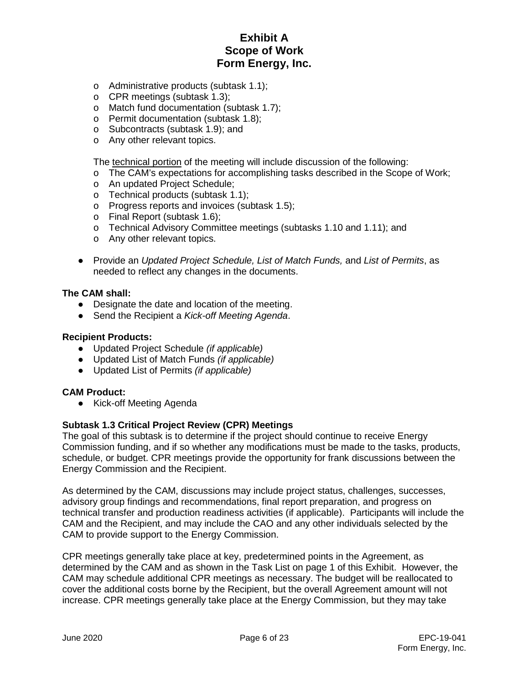- o Administrative products (subtask 1.1);
- o CPR meetings (subtask 1.3);
- o Match fund documentation (subtask 1.7);
- o Permit documentation (subtask 1.8);
- o Subcontracts (subtask 1.9); and
- o Any other relevant topics.

The technical portion of the meeting will include discussion of the following:

- o The CAM's expectations for accomplishing tasks described in the Scope of Work;
- o An updated Project Schedule;
- o Technical products (subtask 1.1);
- o Progress reports and invoices (subtask 1.5);
- o Final Report (subtask 1.6);
- o Technical Advisory Committee meetings (subtasks 1.10 and 1.11); and
- o Any other relevant topics.
- Provide an *Updated Project Schedule, List of Match Funds,* and *List of Permits*, as needed to reflect any changes in the documents.

#### **The CAM shall:**

- Designate the date and location of the meeting.
- Send the Recipient a *Kick-off Meeting Agenda*.

#### **Recipient Products:**

- Updated Project Schedule *(if applicable)*
- Updated List of Match Funds *(if applicable)*
- Updated List of Permits *(if applicable)*

#### **CAM Product:**

● Kick-off Meeting Agenda

#### **Subtask 1.3 Critical Project Review (CPR) Meetings**

The goal of this subtask is to determine if the project should continue to receive Energy Commission funding, and if so whether any modifications must be made to the tasks, products, schedule, or budget. CPR meetings provide the opportunity for frank discussions between the Energy Commission and the Recipient.

As determined by the CAM, discussions may include project status, challenges, successes, advisory group findings and recommendations, final report preparation, and progress on technical transfer and production readiness activities (if applicable). Participants will include the CAM and the Recipient, and may include the CAO and any other individuals selected by the CAM to provide support to the Energy Commission.

CPR meetings generally take place at key, predetermined points in the Agreement, as determined by the CAM and as shown in the Task List on page 1 of this Exhibit. However, the CAM may schedule additional CPR meetings as necessary. The budget will be reallocated to cover the additional costs borne by the Recipient, but the overall Agreement amount will not increase. CPR meetings generally take place at the Energy Commission, but they may take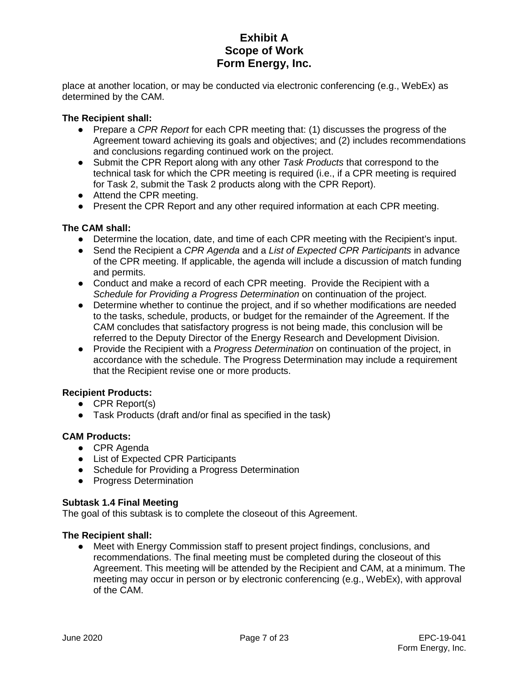place at another location, or may be conducted via electronic conferencing (e.g., WebEx) as determined by the CAM.

#### **The Recipient shall:**

- Prepare a *CPR Report* for each CPR meeting that: (1) discusses the progress of the Agreement toward achieving its goals and objectives; and (2) includes recommendations and conclusions regarding continued work on the project.
- Submit the CPR Report along with any other *Task Products* that correspond to the technical task for which the CPR meeting is required (i.e., if a CPR meeting is required for Task 2, submit the Task 2 products along with the CPR Report).
- Attend the CPR meeting.
- Present the CPR Report and any other required information at each CPR meeting.

#### **The CAM shall:**

- Determine the location, date, and time of each CPR meeting with the Recipient's input.
- Send the Recipient a *CPR Agenda* and a *List of Expected CPR Participants* in advance of the CPR meeting. If applicable, the agenda will include a discussion of match funding and permits.
- Conduct and make a record of each CPR meeting. Provide the Recipient with a *Schedule for Providing a Progress Determination* on continuation of the project.
- Determine whether to continue the project, and if so whether modifications are needed to the tasks, schedule, products, or budget for the remainder of the Agreement. If the CAM concludes that satisfactory progress is not being made, this conclusion will be referred to the Deputy Director of the Energy Research and Development Division.
- Provide the Recipient with a *Progress Determination* on continuation of the project, in accordance with the schedule. The Progress Determination may include a requirement that the Recipient revise one or more products.

### **Recipient Products:**

- CPR Report(s)
- Task Products (draft and/or final as specified in the task)

#### **CAM Products:**

- CPR Agenda
- List of Expected CPR Participants
- Schedule for Providing a Progress Determination
- Progress Determination

#### **Subtask 1.4 Final Meeting**

The goal of this subtask is to complete the closeout of this Agreement.

#### **The Recipient shall:**

● Meet with Energy Commission staff to present project findings, conclusions, and recommendations. The final meeting must be completed during the closeout of this Agreement. This meeting will be attended by the Recipient and CAM, at a minimum. The meeting may occur in person or by electronic conferencing (e.g., WebEx), with approval of the CAM.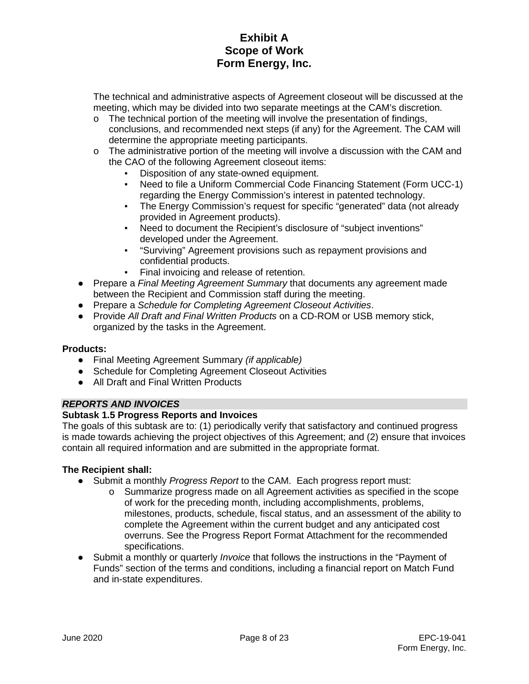The technical and administrative aspects of Agreement closeout will be discussed at the meeting, which may be divided into two separate meetings at the CAM's discretion.

- $\circ$  The technical portion of the meeting will involve the presentation of findings, conclusions, and recommended next steps (if any) for the Agreement. The CAM will determine the appropriate meeting participants.
- $\circ$  The administrative portion of the meeting will involve a discussion with the CAM and the CAO of the following Agreement closeout items:
	- Disposition of any state-owned equipment.
	- Need to file a Uniform Commercial Code Financing Statement (Form UCC-1) regarding the Energy Commission's interest in patented technology.
	- The Energy Commission's request for specific "generated" data (not already provided in Agreement products).
	- Need to document the Recipient's disclosure of "subject inventions" developed under the Agreement.
	- "Surviving" Agreement provisions such as repayment provisions and confidential products.
	- Final invoicing and release of retention.
- Prepare a *Final Meeting Agreement Summary* that documents any agreement made between the Recipient and Commission staff during the meeting.
- Prepare a *Schedule for Completing Agreement Closeout Activities*.
- Provide *All Draft and Final Written Products* on a CD-ROM or USB memory stick, organized by the tasks in the Agreement.

### **Products:**

- Final Meeting Agreement Summary *(if applicable)*
- Schedule for Completing Agreement Closeout Activities
- All Draft and Final Written Products

### *REPORTS AND INVOICES*

### **Subtask 1.5 Progress Reports and Invoices**

The goals of this subtask are to: (1) periodically verify that satisfactory and continued progress is made towards achieving the project objectives of this Agreement; and (2) ensure that invoices contain all required information and are submitted in the appropriate format.

- Submit a monthly *Progress Report* to the CAM. Each progress report must:
	- o Summarize progress made on all Agreement activities as specified in the scope of work for the preceding month, including accomplishments, problems, milestones, products, schedule, fiscal status, and an assessment of the ability to complete the Agreement within the current budget and any anticipated cost overruns. See the Progress Report Format Attachment for the recommended specifications.
- Submit a monthly or quarterly *Invoice* that follows the instructions in the "Payment of Funds" section of the terms and conditions, including a financial report on Match Fund and in-state expenditures.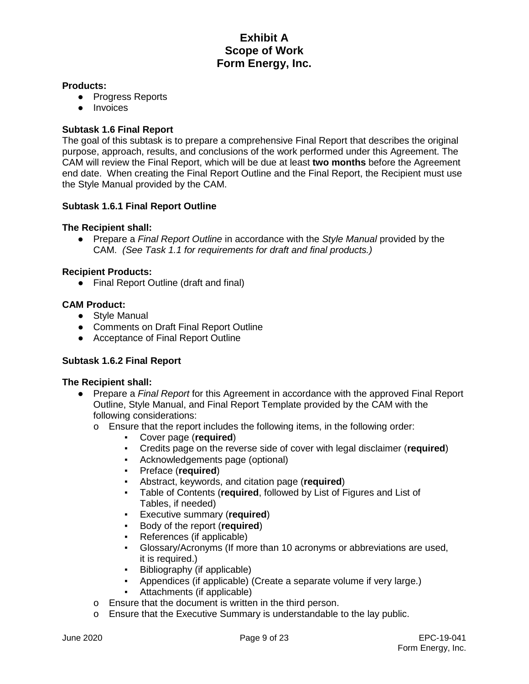#### **Products:**

- Progress Reports
- Invoices

#### **Subtask 1.6 Final Report**

The goal of this subtask is to prepare a comprehensive Final Report that describes the original purpose, approach, results, and conclusions of the work performed under this Agreement. The CAM will review the Final Report, which will be due at least **two months** before the Agreement end date. When creating the Final Report Outline and the Final Report, the Recipient must use the Style Manual provided by the CAM.

#### **Subtask 1.6.1 Final Report Outline**

#### **The Recipient shall:**

● Prepare a *Final Report Outline* in accordance with the *Style Manual* provided by the CAM. *(See Task 1.1 for requirements for draft and final products.)*

#### **Recipient Products:**

● Final Report Outline (draft and final)

#### **CAM Product:**

- Style Manual
- Comments on Draft Final Report Outline
- Acceptance of Final Report Outline

#### **Subtask 1.6.2 Final Report**

- Prepare a *Final Report* for this Agreement in accordance with the approved Final Report Outline, Style Manual, and Final Report Template provided by the CAM with the following considerations:
	- $\circ$  Ensure that the report includes the following items, in the following order:
		- Cover page (**required**)
		- Credits page on the reverse side of cover with legal disclaimer (**required**)
		- **EXEC** Acknowledgements page (optional)<br>**Preface (required)**
		- Preface (**required**)
		- Abstract, keywords, and citation page (**required**)
		- Table of Contents (**required**, followed by List of Figures and List of Tables, if needed)
		- Executive summary (**required**)
		- Body of the report (**required**)
		- References (if applicable)
		- Glossary/Acronyms (If more than 10 acronyms or abbreviations are used, it is required.)
		- Bibliography (if applicable)
		- Appendices (if applicable) (Create a separate volume if very large.)
		- Attachments (if applicable)
	- o Ensure that the document is written in the third person.
	- o Ensure that the Executive Summary is understandable to the lay public.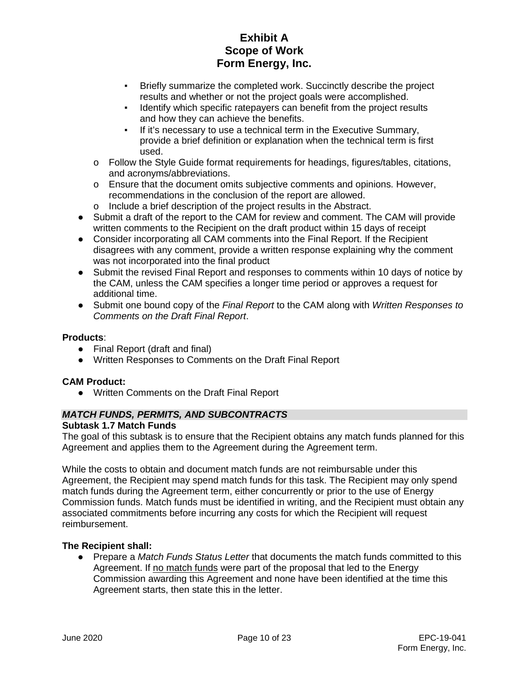- **EXECT:** Briefly summarize the completed work. Succinctly describe the project results and whether or not the project goals were accomplished.
- Identify which specific ratepayers can benefit from the project results and how they can achieve the benefits.
- If it's necessary to use a technical term in the Executive Summary, provide a brief definition or explanation when the technical term is first used.
- o Follow the Style Guide format requirements for headings, figures/tables, citations, and acronyms/abbreviations.
- $\circ$  Ensure that the document omits subjective comments and opinions. However, recommendations in the conclusion of the report are allowed.
- o Include a brief description of the project results in the Abstract.
- Submit a draft of the report to the CAM for review and comment. The CAM will provide written comments to the Recipient on the draft product within 15 days of receipt
- Consider incorporating all CAM comments into the Final Report. If the Recipient disagrees with any comment, provide a written response explaining why the comment was not incorporated into the final product
- Submit the revised Final Report and responses to comments within 10 days of notice by the CAM, unless the CAM specifies a longer time period or approves a request for additional time.
- Submit one bound copy of the *Final Report* to the CAM along with *Written Responses to Comments on the Draft Final Report*.

### **Products**:

- Final Report (draft and final)
- Written Responses to Comments on the Draft Final Report

### **CAM Product:**

● Written Comments on the Draft Final Report

### *MATCH FUNDS, PERMITS, AND SUBCONTRACTS*

### **Subtask 1.7 Match Funds**

The goal of this subtask is to ensure that the Recipient obtains any match funds planned for this Agreement and applies them to the Agreement during the Agreement term.

While the costs to obtain and document match funds are not reimbursable under this Agreement, the Recipient may spend match funds for this task. The Recipient may only spend match funds during the Agreement term, either concurrently or prior to the use of Energy Commission funds. Match funds must be identified in writing, and the Recipient must obtain any associated commitments before incurring any costs for which the Recipient will request reimbursement.

### **The Recipient shall:**

● Prepare a *Match Funds Status Letter* that documents the match funds committed to this Agreement. If no match funds were part of the proposal that led to the Energy Commission awarding this Agreement and none have been identified at the time this Agreement starts, then state this in the letter.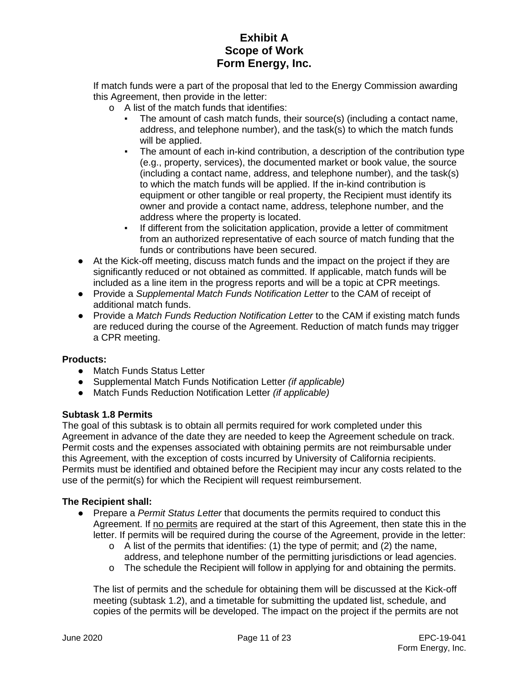If match funds were a part of the proposal that led to the Energy Commission awarding this Agreement, then provide in the letter:

- o A list of the match funds that identifies:
	- The amount of cash match funds, their source(s) (including a contact name, address, and telephone number), and the task(s) to which the match funds will be applied.
	- The amount of each in-kind contribution, a description of the contribution type (e.g., property, services), the documented market or book value, the source (including a contact name, address, and telephone number), and the task(s) to which the match funds will be applied. If the in-kind contribution is equipment or other tangible or real property, the Recipient must identify its owner and provide a contact name, address, telephone number, and the address where the property is located.
	- If different from the solicitation application, provide a letter of commitment from an authorized representative of each source of match funding that the funds or contributions have been secured.
- At the Kick-off meeting, discuss match funds and the impact on the project if they are significantly reduced or not obtained as committed. If applicable, match funds will be included as a line item in the progress reports and will be a topic at CPR meetings.
- Provide a *Supplemental Match Funds Notification Letter* to the CAM of receipt of additional match funds.
- Provide a *Match Funds Reduction Notification Letter* to the CAM if existing match funds are reduced during the course of the Agreement. Reduction of match funds may trigger a CPR meeting.

### **Products:**

- Match Funds Status Letter
- Supplemental Match Funds Notification Letter *(if applicable)*
- Match Funds Reduction Notification Letter *(if applicable)*

### **Subtask 1.8 Permits**

The goal of this subtask is to obtain all permits required for work completed under this Agreement in advance of the date they are needed to keep the Agreement schedule on track. Permit costs and the expenses associated with obtaining permits are not reimbursable under this Agreement, with the exception of costs incurred by University of California recipients. Permits must be identified and obtained before the Recipient may incur any costs related to the use of the permit(s) for which the Recipient will request reimbursement.

### **The Recipient shall:**

- Prepare a *Permit Status Letter* that documents the permits required to conduct this Agreement. If no permits are required at the start of this Agreement, then state this in the letter. If permits will be required during the course of the Agreement, provide in the letter:
	- o A list of the permits that identifies: (1) the type of permit; and (2) the name, address, and telephone number of the permitting jurisdictions or lead agencies.
	- $\circ$  The schedule the Recipient will follow in applying for and obtaining the permits.

The list of permits and the schedule for obtaining them will be discussed at the Kick-off meeting (subtask 1.2), and a timetable for submitting the updated list, schedule, and copies of the permits will be developed. The impact on the project if the permits are not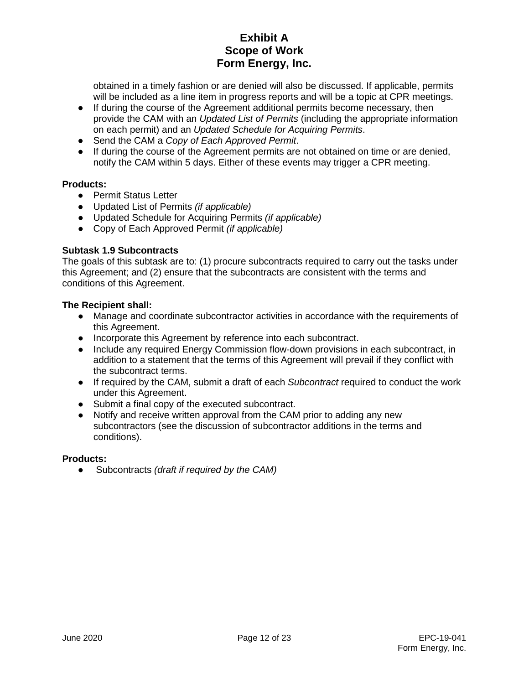obtained in a timely fashion or are denied will also be discussed. If applicable, permits will be included as a line item in progress reports and will be a topic at CPR meetings.

- If during the course of the Agreement additional permits become necessary, then provide the CAM with an *Updated List of Permits* (including the appropriate information on each permit) and an *Updated Schedule for Acquiring Permits*.
- Send the CAM a *Copy of Each Approved Permit*.
- If during the course of the Agreement permits are not obtained on time or are denied, notify the CAM within 5 days. Either of these events may trigger a CPR meeting.

### **Products:**

- Permit Status Letter
- Updated List of Permits *(if applicable)*
- Updated Schedule for Acquiring Permits *(if applicable)*
- Copy of Each Approved Permit *(if applicable)*

### **Subtask 1.9 Subcontracts**

The goals of this subtask are to: (1) procure subcontracts required to carry out the tasks under this Agreement; and (2) ensure that the subcontracts are consistent with the terms and conditions of this Agreement.

### **The Recipient shall:**

- Manage and coordinate subcontractor activities in accordance with the requirements of this Agreement.
- Incorporate this Agreement by reference into each subcontract.
- Include any required Energy Commission flow-down provisions in each subcontract, in addition to a statement that the terms of this Agreement will prevail if they conflict with the subcontract terms.
- If required by the CAM, submit a draft of each *Subcontract* required to conduct the work under this Agreement.
- Submit a final copy of the executed subcontract.
- Notify and receive written approval from the CAM prior to adding any new subcontractors (see the discussion of subcontractor additions in the terms and conditions).

### **Products:**

● Subcontracts *(draft if required by the CAM)*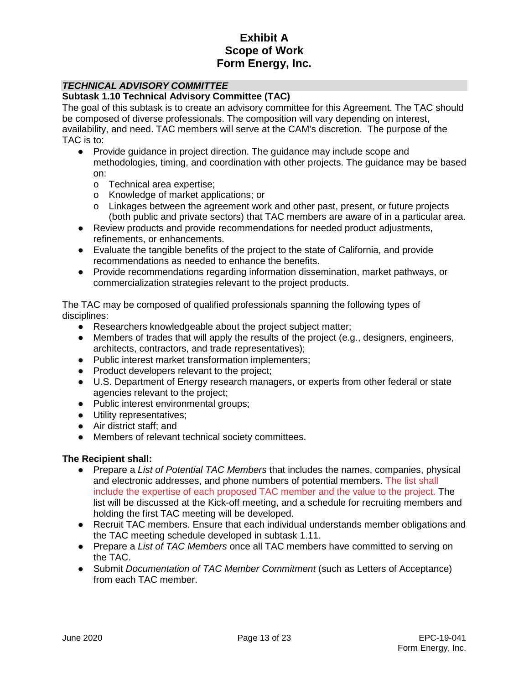### *TECHNICAL ADVISORY COMMITTEE*

#### **Subtask 1.10 Technical Advisory Committee (TAC)**

The goal of this subtask is to create an advisory committee for this Agreement. The TAC should be composed of diverse professionals. The composition will vary depending on interest, availability, and need. TAC members will serve at the CAM's discretion. The purpose of the TAC is to:

- Provide guidance in project direction. The guidance may include scope and methodologies, timing, and coordination with other projects. The guidance may be based on:
	- o Technical area expertise;
	- o Knowledge of market applications; or
	- $\circ$  Linkages between the agreement work and other past, present, or future projects (both public and private sectors) that TAC members are aware of in a particular area.
- Review products and provide recommendations for needed product adjustments, refinements, or enhancements.
- Evaluate the tangible benefits of the project to the state of California, and provide recommendations as needed to enhance the benefits.
- Provide recommendations regarding information dissemination, market pathways, or commercialization strategies relevant to the project products.

The TAC may be composed of qualified professionals spanning the following types of disciplines:

- Researchers knowledgeable about the project subject matter;
- Members of trades that will apply the results of the project (e.g., designers, engineers, architects, contractors, and trade representatives);
- Public interest market transformation implementers;
- Product developers relevant to the project;
- U.S. Department of Energy research managers, or experts from other federal or state agencies relevant to the project;
- Public interest environmental groups;
- Utility representatives;
- Air district staff; and
- Members of relevant technical society committees.

- Prepare a *List of Potential TAC Members* that includes the names, companies, physical and electronic addresses, and phone numbers of potential members. The list shall include the expertise of each proposed TAC member and the value to the project. The list will be discussed at the Kick-off meeting, and a schedule for recruiting members and holding the first TAC meeting will be developed.
- Recruit TAC members. Ensure that each individual understands member obligations and the TAC meeting schedule developed in subtask 1.11.
- Prepare a *List of TAC Members* once all TAC members have committed to serving on the TAC.
- Submit *Documentation of TAC Member Commitment* (such as Letters of Acceptance) from each TAC member.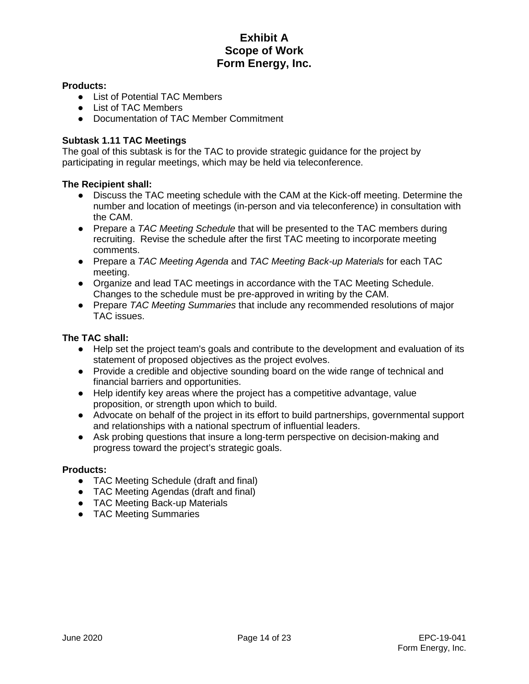#### **Products:**

- List of Potential TAC Members
- List of TAC Members
- Documentation of TAC Member Commitment

#### **Subtask 1.11 TAC Meetings**

The goal of this subtask is for the TAC to provide strategic guidance for the project by participating in regular meetings, which may be held via teleconference.

#### **The Recipient shall:**

- Discuss the TAC meeting schedule with the CAM at the Kick-off meeting. Determine the number and location of meetings (in-person and via teleconference) in consultation with the CAM.
- Prepare a *TAC Meeting Schedule* that will be presented to the TAC members during recruiting. Revise the schedule after the first TAC meeting to incorporate meeting comments.
- Prepare a *TAC Meeting Agenda* and *TAC Meeting Back-up Materials* for each TAC meeting.
- Organize and lead TAC meetings in accordance with the TAC Meeting Schedule. Changes to the schedule must be pre-approved in writing by the CAM.
- Prepare *TAC Meeting Summaries* that include any recommended resolutions of major TAC issues.

### **The TAC shall:**

- Help set the project team's goals and contribute to the development and evaluation of its statement of proposed objectives as the project evolves.
- Provide a credible and objective sounding board on the wide range of technical and financial barriers and opportunities.
- Help identify key areas where the project has a competitive advantage, value proposition, or strength upon which to build.
- Advocate on behalf of the project in its effort to build partnerships, governmental support and relationships with a national spectrum of influential leaders.
- Ask probing questions that insure a long-term perspective on decision-making and progress toward the project's strategic goals.

#### **Products:**

- TAC Meeting Schedule (draft and final)
- TAC Meeting Agendas (draft and final)
- TAC Meeting Back-up Materials
- TAC Meeting Summaries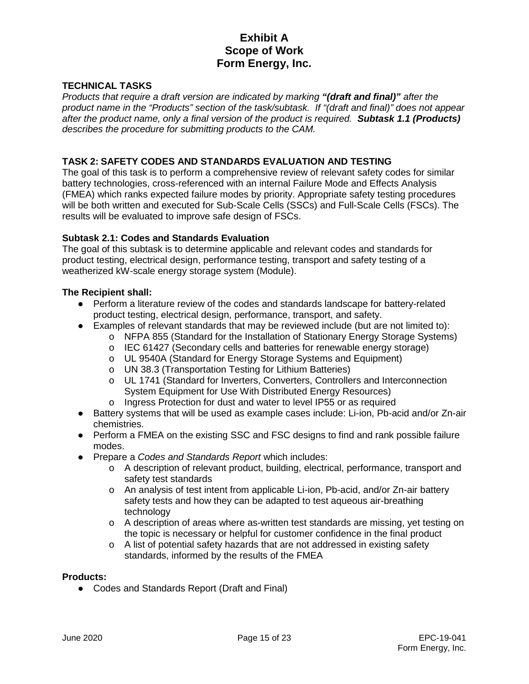### **TECHNICAL TASKS**

*Products that require a draft version are indicated by marking "(draft and final)" after the product name in the "Products" section of the task/subtask. If "(draft and final)" does not appear after the product name, only a final version of the product is required. Subtask 1.1 (Products) describes the procedure for submitting products to the CAM.* 

#### **TASK 2: SAFETY CODES AND STANDARDS EVALUATION AND TESTING**

The goal of this task is to perform a comprehensive review of relevant safety codes for similar battery technologies, cross-referenced with an internal Failure Mode and Effects Analysis (FMEA) which ranks expected failure modes by priority. Appropriate safety testing procedures will be both written and executed for Sub-Scale Cells (SSCs) and Full-Scale Cells (FSCs). The results will be evaluated to improve safe design of FSCs.

#### **Subtask 2.1: Codes and Standards Evaluation**

The goal of this subtask is to determine applicable and relevant codes and standards for product testing, electrical design, performance testing, transport and safety testing of a weatherized kW-scale energy storage system (Module).

#### **The Recipient shall:**

- Perform a literature review of the codes and standards landscape for battery-related product testing, electrical design, performance, transport, and safety.
- Examples of relevant standards that may be reviewed include (but are not limited to):
	- o NFPA 855 (Standard for the Installation of Stationary Energy Storage Systems)
	- o IEC 61427 (Secondary cells and batteries for renewable energy storage)
	- o UL 9540A (Standard for Energy Storage Systems and Equipment)
	- o UN 38.3 (Transportation Testing for Lithium Batteries)
	- o UL 1741 (Standard for Inverters, Converters, Controllers and Interconnection System Equipment for Use With Distributed Energy Resources)
	- o Ingress Protection for dust and water to level IP55 or as required
- Battery systems that will be used as example cases include: Li-ion, Pb-acid and/or Zn-air chemistries.
- Perform a FMEA on the existing SSC and FSC designs to find and rank possible failure modes.
- Prepare a *Codes and Standards Report* which includes:
	- o A description of relevant product, building, electrical, performance, transport and safety test standards
	- o An analysis of test intent from applicable Li-ion, Pb-acid, and/or Zn-air battery safety tests and how they can be adapted to test aqueous air-breathing technology
	- o A description of areas where as-written test standards are missing, yet testing on the topic is necessary or helpful for customer confidence in the final product
	- o A list of potential safety hazards that are not addressed in existing safety standards, informed by the results of the FMEA

#### **Products:**

● Codes and Standards Report (Draft and Final)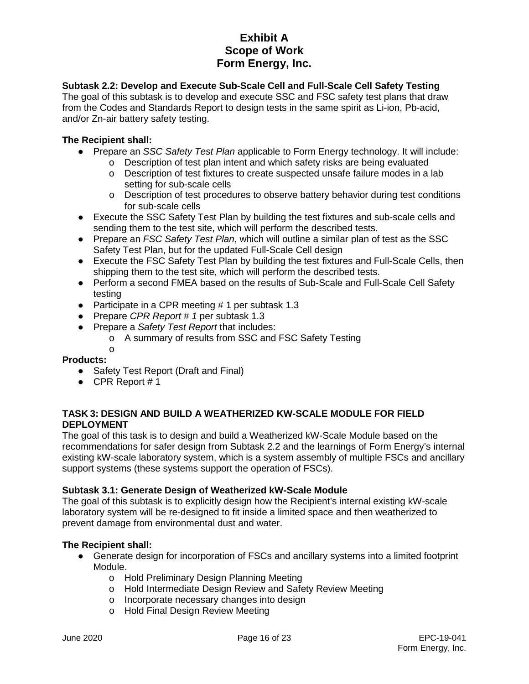## **Subtask 2.2: Develop and Execute Sub-Scale Cell and Full-Scale Cell Safety Testing**

The goal of this subtask is to develop and execute SSC and FSC safety test plans that draw from the Codes and Standards Report to design tests in the same spirit as Li-ion, Pb-acid, and/or Zn-air battery safety testing.

### **The Recipient shall:**

- Prepare an *SSC Safety Test Plan* applicable to Form Energy technology. It will include:
	- o Description of test plan intent and which safety risks are being evaluated o<br>
	o Description of test fixtures to create suspected unsafe failure modes in a
		- Description of test fixtures to create suspected unsafe failure modes in a lab setting for sub-scale cells
		- o Description of test procedures to observe battery behavior during test conditions for sub-scale cells
- Execute the SSC Safety Test Plan by building the test fixtures and sub-scale cells and sending them to the test site, which will perform the described tests.
- Prepare an *FSC Safety Test Plan*, which will outline a similar plan of test as the SSC Safety Test Plan, but for the updated Full-Scale Cell design
- Execute the FSC Safety Test Plan by building the test fixtures and Full-Scale Cells, then shipping them to the test site, which will perform the described tests.
- Perform a second FMEA based on the results of Sub-Scale and Full-Scale Cell Safety testing
- Participate in a CPR meeting # 1 per subtask 1.3
- Prepare *CPR Report # 1* per subtask 1.3
- Prepare a *Safety Test Report* that includes:
	- o A summary of results from SSC and FSC Safety Testing
	- o

### **Products:**

- Safety Test Report (Draft and Final)
- $\bullet$  CPR Report #1

### **TASK 3: DESIGN AND BUILD A WEATHERIZED KW-SCALE MODULE FOR FIELD DEPLOYMENT**

The goal of this task is to design and build a Weatherized kW-Scale Module based on the recommendations for safer design from Subtask 2.2 and the learnings of Form Energy's internal existing kW-scale laboratory system, which is a system assembly of multiple FSCs and ancillary support systems (these systems support the operation of FSCs).

### **Subtask 3.1: Generate Design of Weatherized kW-Scale Module**

The goal of this subtask is to explicitly design how the Recipient's internal existing kW-scale laboratory system will be re-designed to fit inside a limited space and then weatherized to prevent damage from environmental dust and water.

- Generate design for incorporation of FSCs and ancillary systems into a limited footprint Module.
	- o Hold Preliminary Design Planning Meeting
	- o Hold Intermediate Design Review and Safety Review Meeting
	- o Incorporate necessary changes into design
	- o Hold Final Design Review Meeting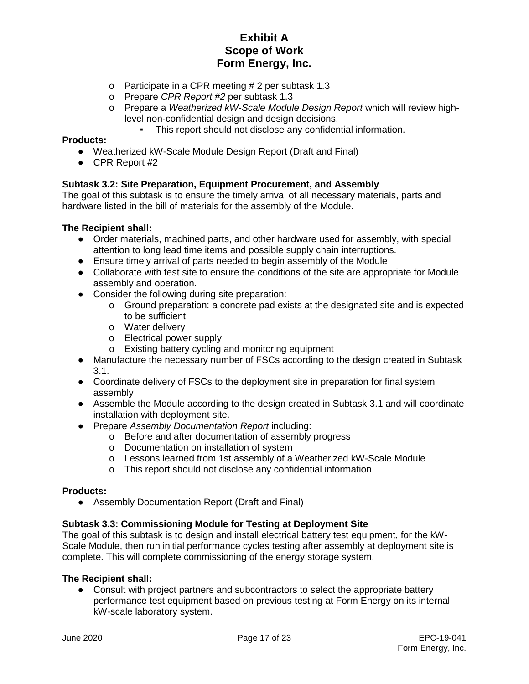- o Participate in a CPR meeting # 2 per subtask 1.3
- o Prepare *CPR Report #2* per subtask 1.3
- o Prepare a *Weatherized kW-Scale Module Design Report* which will review highlevel non-confidential design and design decisions.
	- This report should not disclose any confidential information.

#### **Products:**

- Weatherized kW-Scale Module Design Report (Draft and Final)
- CPR Report #2

#### **Subtask 3.2: Site Preparation, Equipment Procurement, and Assembly**

The goal of this subtask is to ensure the timely arrival of all necessary materials, parts and hardware listed in the bill of materials for the assembly of the Module.

#### **The Recipient shall:**

- Order materials, machined parts, and other hardware used for assembly, with special attention to long lead time items and possible supply chain interruptions.
- Ensure timely arrival of parts needed to begin assembly of the Module
- Collaborate with test site to ensure the conditions of the site are appropriate for Module assembly and operation.
- Consider the following during site preparation:
	- o Ground preparation: a concrete pad exists at the designated site and is expected to be sufficient
	- o Water delivery
	- o Electrical power supply
	- o Existing battery cycling and monitoring equipment
- Manufacture the necessary number of FSCs according to the design created in Subtask 3.1.
- Coordinate delivery of FSCs to the deployment site in preparation for final system assembly
- Assemble the Module according to the design created in Subtask 3.1 and will coordinate installation with deployment site.
- Prepare *Assembly Documentation Report* including:
	- o Before and after documentation of assembly progress
	- o Documentation on installation of system
	- o Lessons learned from 1st assembly of a Weatherized kW-Scale Module
	- o This report should not disclose any confidential information

#### **Products:**

• Assembly Documentation Report (Draft and Final)

#### **Subtask 3.3: Commissioning Module for Testing at Deployment Site**

The goal of this subtask is to design and install electrical battery test equipment, for the kW-Scale Module, then run initial performance cycles testing after assembly at deployment site is complete. This will complete commissioning of the energy storage system.

#### **The Recipient shall:**

● Consult with project partners and subcontractors to select the appropriate battery performance test equipment based on previous testing at Form Energy on its internal kW-scale laboratory system.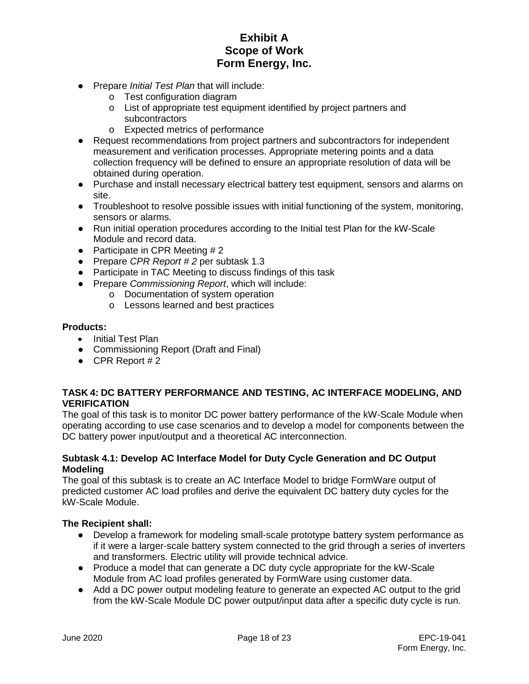- Prepare *Initial Test Plan* that will include:
	- o Test configuration diagram
	- o List of appropriate test equipment identified by project partners and subcontractors
	- o Expected metrics of performance
- Request recommendations from project partners and subcontractors for independent measurement and verification processes. Appropriate metering points and a data collection frequency will be defined to ensure an appropriate resolution of data will be obtained during operation.
- Purchase and install necessary electrical battery test equipment, sensors and alarms on site.
- Troubleshoot to resolve possible issues with initial functioning of the system, monitoring, sensors or alarms.
- Run initial operation procedures according to the Initial test Plan for the kW-Scale Module and record data.
- Participate in CPR Meeting  $# 2$
- Prepare *CPR Report # 2* per subtask 1.3
- Participate in TAC Meeting to discuss findings of this task
- Prepare *Commissioning Report*, which will include:
	- o Documentation of system operation
	- o Lessons learned and best practices

#### **Products:**

- Initial Test Plan
- Commissioning Report (Draft and Final)
- $\bullet$  CPR Report #2

#### **TASK 4: DC BATTERY PERFORMANCE AND TESTING, AC INTERFACE MODELING, AND VERIFICATION**

The goal of this task is to monitor DC power battery performance of the kW-Scale Module when operating according to use case scenarios and to develop a model for components between the DC battery power input/output and a theoretical AC interconnection.

#### **Subtask 4.1: Develop AC Interface Model for Duty Cycle Generation and DC Output Modeling**

The goal of this subtask is to create an AC Interface Model to bridge FormWare output of predicted customer AC load profiles and derive the equivalent DC battery duty cycles for the kW-Scale Module.

- Develop a framework for modeling small-scale prototype battery system performance as if it were a larger-scale battery system connected to the grid through a series of inverters and transformers. Electric utility will provide technical advice.
- Produce a model that can generate a DC duty cycle appropriate for the kW-Scale Module from AC load profiles generated by FormWare using customer data.
- Add a DC power output modeling feature to generate an expected AC output to the grid from the kW-Scale Module DC power output/input data after a specific duty cycle is run.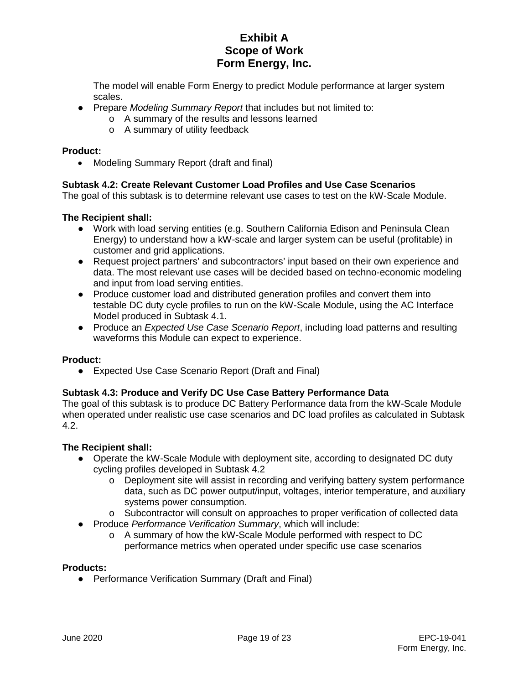The model will enable Form Energy to predict Module performance at larger system scales.

- Prepare *Modeling Summary Report* that includes but not limited to:
	- o A summary of the results and lessons learned
	- o A summary of utility feedback

#### **Product:**

• Modeling Summary Report (draft and final)

#### **Subtask 4.2: Create Relevant Customer Load Profiles and Use Case Scenarios**

The goal of this subtask is to determine relevant use cases to test on the kW-Scale Module.

#### **The Recipient shall:**

- Work with load serving entities (e.g. Southern California Edison and Peninsula Clean Energy) to understand how a kW-scale and larger system can be useful (profitable) in customer and grid applications.
- Request project partners' and subcontractors' input based on their own experience and data. The most relevant use cases will be decided based on techno-economic modeling and input from load serving entities.
- Produce customer load and distributed generation profiles and convert them into testable DC duty cycle profiles to run on the kW-Scale Module, using the AC Interface Model produced in Subtask 4.1.
- Produce an *Expected Use Case Scenario Report*, including load patterns and resulting waveforms this Module can expect to experience.

#### **Product:**

● Expected Use Case Scenario Report (Draft and Final)

#### **Subtask 4.3: Produce and Verify DC Use Case Battery Performance Data**

The goal of this subtask is to produce DC Battery Performance data from the kW-Scale Module when operated under realistic use case scenarios and DC load profiles as calculated in Subtask 4.2.

#### **The Recipient shall:**

- Operate the kW-Scale Module with deployment site, according to designated DC duty cycling profiles developed in Subtask 4.2
	- $\circ$  Deployment site will assist in recording and verifying battery system performance data, such as DC power output/input, voltages, interior temperature, and auxiliary systems power consumption.
	- o Subcontractor will consult on approaches to proper verification of collected data
- Produce *Performance Verification Summary*, which will include:
	- o A summary of how the kW-Scale Module performed with respect to DC performance metrics when operated under specific use case scenarios

#### **Products:**

● Performance Verification Summary (Draft and Final)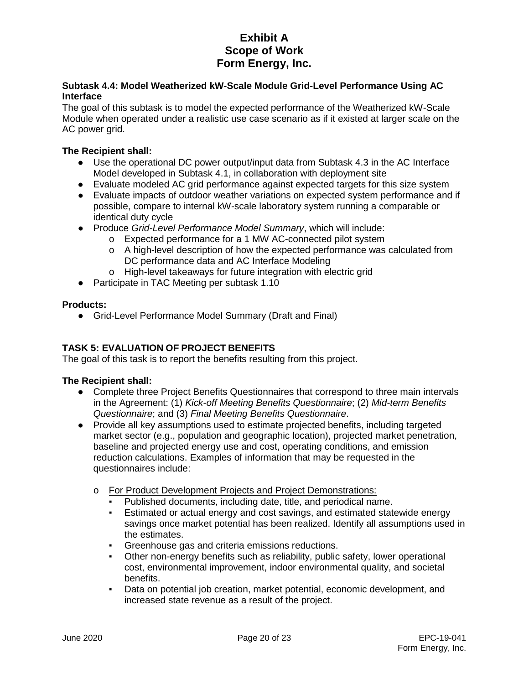#### **Subtask 4.4: Model Weatherized kW-Scale Module Grid-Level Performance Using AC Interface**

The goal of this subtask is to model the expected performance of the Weatherized kW-Scale Module when operated under a realistic use case scenario as if it existed at larger scale on the AC power arid.

### **The Recipient shall:**

- Use the operational DC power output/input data from Subtask 4.3 in the AC Interface Model developed in Subtask 4.1, in collaboration with deployment site
- Evaluate modeled AC grid performance against expected targets for this size system
- Evaluate impacts of outdoor weather variations on expected system performance and if possible, compare to internal kW-scale laboratory system running a comparable or identical duty cycle
- Produce *Grid-Level Performance Model Summary*, which will include:
	- o Expected performance for a 1 MW AC-connected pilot system
	- o A high-level description of how the expected performance was calculated from DC performance data and AC Interface Modeling
	- o High-level takeaways for future integration with electric grid
- Participate in TAC Meeting per subtask 1.10

### **Products:**

● Grid-Level Performance Model Summary (Draft and Final)

### **TASK 5: EVALUATION OF PROJECT BENEFITS**

The goal of this task is to report the benefits resulting from this project.

- Complete three Project Benefits Questionnaires that correspond to three main intervals in the Agreement: (1) *Kick-off Meeting Benefits Questionnaire*; (2) *Mid-term Benefits Questionnaire*; and (3) *Final Meeting Benefits Questionnaire*.
- Provide all key assumptions used to estimate projected benefits, including targeted market sector (e.g., population and geographic location), projected market penetration, baseline and projected energy use and cost, operating conditions, and emission reduction calculations. Examples of information that may be requested in the questionnaires include:
	- o For Product Development Projects and Project Demonstrations:
		- Published documents, including date, title, and periodical name.
		- Estimated or actual energy and cost savings, and estimated statewide energy savings once market potential has been realized. Identify all assumptions used in the estimates.
		- Greenhouse gas and criteria emissions reductions.
		- Other non-energy benefits such as reliability, public safety, lower operational cost, environmental improvement, indoor environmental quality, and societal benefits.
		- Data on potential job creation, market potential, economic development, and increased state revenue as a result of the project.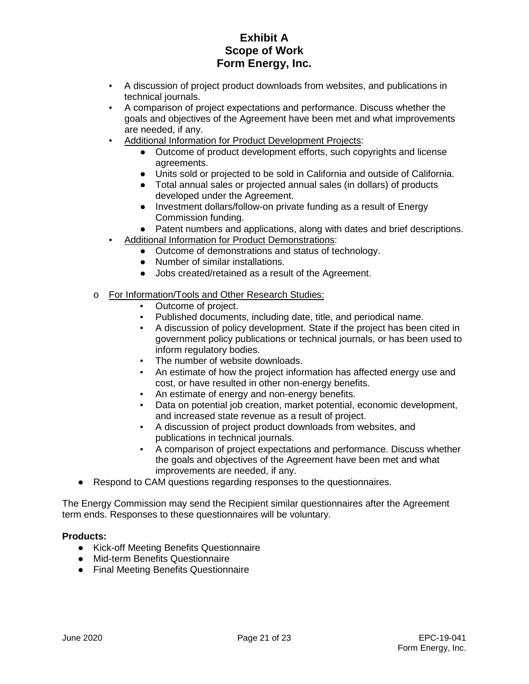- A discussion of project product downloads from websites, and publications in technical journals.
- A comparison of project expectations and performance. Discuss whether the goals and objectives of the Agreement have been met and what improvements are needed, if any.
- Additional Information for Product Development Projects:
	- Outcome of product development efforts, such copyrights and license agreements.
	- Units sold or projected to be sold in California and outside of California.
	- Total annual sales or projected annual sales (in dollars) of products developed under the Agreement.
	- Investment dollars/follow-on private funding as a result of Energy Commission funding.
	- Patent numbers and applications, along with dates and brief descriptions.
- Additional Information for Product Demonstrations:
	- Outcome of demonstrations and status of technology.
	- Number of similar installations.
	- Jobs created/retained as a result of the Agreement.
- o For Information/Tools and Other Research Studies:
	- Outcome of project.
	- Published documents, including date, title, and periodical name.
	- A discussion of policy development. State if the project has been cited in government policy publications or technical journals, or has been used to inform regulatory bodies.
	- The number of website downloads.
	- An estimate of how the project information has affected energy use and cost, or have resulted in other non-energy benefits.
	- An estimate of energy and non-energy benefits.
	- Data on potential job creation, market potential, economic development, and increased state revenue as a result of project.
	- A discussion of project product downloads from websites, and publications in technical journals.
	- A comparison of project expectations and performance. Discuss whether the goals and objectives of the Agreement have been met and what improvements are needed, if any.
- Respond to CAM questions regarding responses to the questionnaires.

The Energy Commission may send the Recipient similar questionnaires after the Agreement term ends. Responses to these questionnaires will be voluntary.

#### **Products:**

- Kick-off Meeting Benefits Questionnaire
- Mid-term Benefits Questionnaire
- Final Meeting Benefits Questionnaire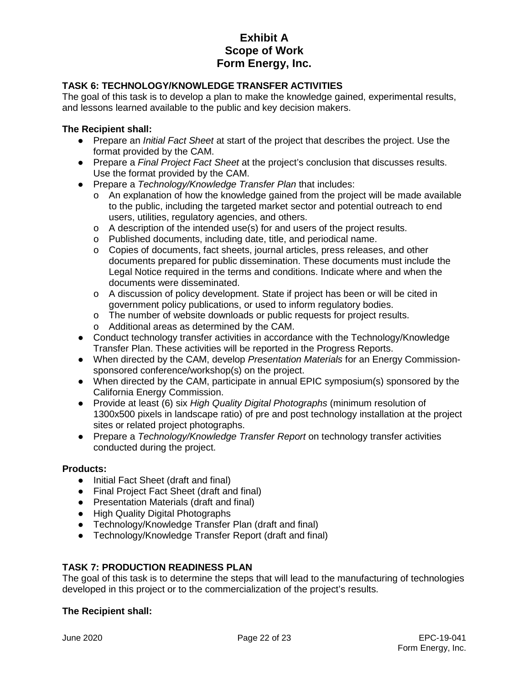### **TASK 6: TECHNOLOGY/KNOWLEDGE TRANSFER ACTIVITIES**

The goal of this task is to develop a plan to make the knowledge gained, experimental results, and lessons learned available to the public and key decision makers.

#### **The Recipient shall:**

- Prepare an *Initial Fact Sheet* at start of the project that describes the project. Use the format provided by the CAM.
- Prepare a *Final Project Fact Sheet* at the project's conclusion that discusses results. Use the format provided by the CAM.
- Prepare a *Technology/Knowledge Transfer Plan* that includes:
	- o An explanation of how the knowledge gained from the project will be made available to the public, including the targeted market sector and potential outreach to end users, utilities, regulatory agencies, and others.
	- o A description of the intended use(s) for and users of the project results.
	- o Published documents, including date, title, and periodical name.
	- o Copies of documents, fact sheets, journal articles, press releases, and other documents prepared for public dissemination. These documents must include the Legal Notice required in the terms and conditions. Indicate where and when the documents were disseminated.
	- o A discussion of policy development. State if project has been or will be cited in government policy publications, or used to inform regulatory bodies.
	- o The number of website downloads or public requests for project results.
	- o Additional areas as determined by the CAM.
- Conduct technology transfer activities in accordance with the Technology/Knowledge Transfer Plan. These activities will be reported in the Progress Reports.
- When directed by the CAM, develop *Presentation Materials* for an Energy Commissionsponsored conference/workshop(s) on the project.
- When directed by the CAM, participate in annual EPIC symposium(s) sponsored by the California Energy Commission.
- Provide at least (6) six *High Quality Digital Photographs* (minimum resolution of 1300x500 pixels in landscape ratio) of pre and post technology installation at the project sites or related project photographs.
- Prepare a *Technology/Knowledge Transfer Report* on technology transfer activities conducted during the project.

#### **Products:**

- Initial Fact Sheet (draft and final)
- Final Project Fact Sheet (draft and final)
- Presentation Materials (draft and final)
- High Quality Digital Photographs
- Technology/Knowledge Transfer Plan (draft and final)
- Technology/Knowledge Transfer Report (draft and final)

#### **TASK 7: PRODUCTION READINESS PLAN**

The goal of this task is to determine the steps that will lead to the manufacturing of technologies developed in this project or to the commercialization of the project's results.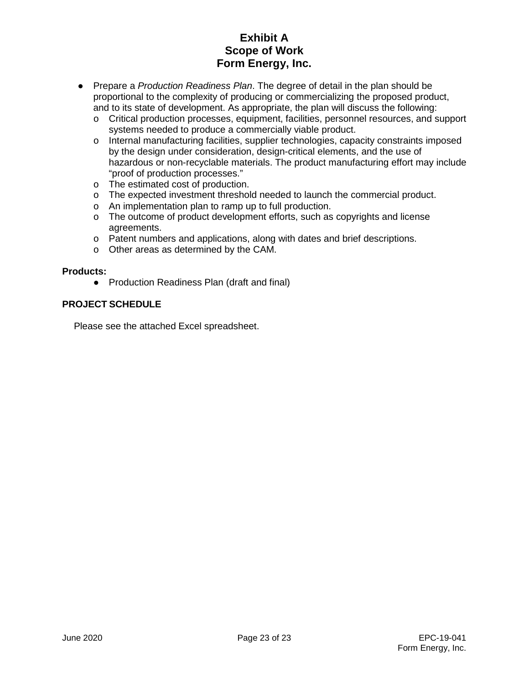- Prepare a *Production Readiness Plan*. The degree of detail in the plan should be proportional to the complexity of producing or commercializing the proposed product, and to its state of development. As appropriate, the plan will discuss the following:
	- o Critical production processes, equipment, facilities, personnel resources, and support systems needed to produce a commercially viable product.
	- o Internal manufacturing facilities, supplier technologies, capacity constraints imposed by the design under consideration, design-critical elements, and the use of hazardous or non-recyclable materials. The product manufacturing effort may include "proof of production processes."
	- o The estimated cost of production.
	- o The expected investment threshold needed to launch the commercial product.
	- o An implementation plan to ramp up to full production.
	- o The outcome of product development efforts, such as copyrights and license agreements.
	- o Patent numbers and applications, along with dates and brief descriptions.
	- o Other areas as determined by the CAM.

#### **Products:**

● Production Readiness Plan (draft and final)

### **PROJECT SCHEDULE**

Please see the attached Excel spreadsheet.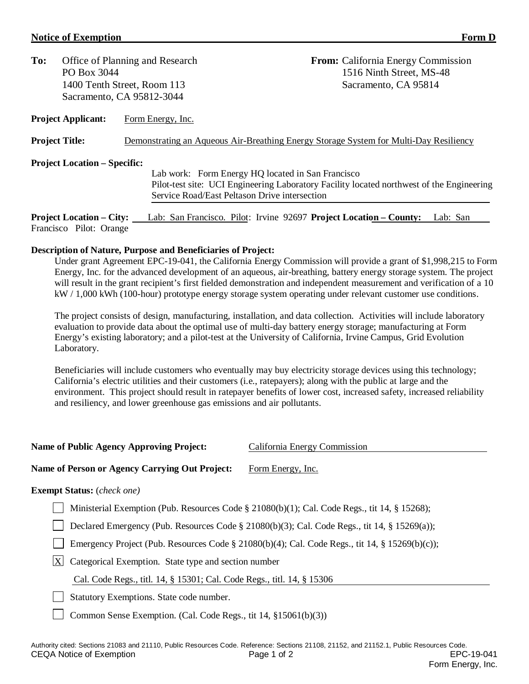#### **Notice of Exemption Form D**

| To:<br>Office of Planning and Research |                                     | <b>From:</b> California Energy Commission                                                 |  |
|----------------------------------------|-------------------------------------|-------------------------------------------------------------------------------------------|--|
|                                        | PO Box 3044                         | 1516 Ninth Street, MS-48                                                                  |  |
|                                        |                                     | 1400 Tenth Street, Room 113<br>Sacramento, CA 95814                                       |  |
|                                        |                                     | Sacramento, CA 95812-3044                                                                 |  |
|                                        | <b>Project Applicant:</b>           | Form Energy, Inc.                                                                         |  |
|                                        | <b>Project Title:</b>               | Demonstrating an Aqueous Air-Breathing Energy Storage System for Multi-Day Resiliency     |  |
|                                        | <b>Project Location – Specific:</b> |                                                                                           |  |
|                                        |                                     | Lab work: Form Energy HQ located in San Francisco                                         |  |
|                                        |                                     | Pilot-test site: UCI Engineering Laboratory Facility located northwest of the Engineering |  |
|                                        |                                     | Service Road/East Peltason Drive intersection                                             |  |

**Project Location – City:** Lab: San Francisco. Pilot: Irvine 92697 **Project Location – County:** Lab: San Francisco Pilot: Orange

### **Description of Nature, Purpose and Beneficiaries of Project:**

Under grant Agreement EPC-19-041, the California Energy Commission will provide a grant of \$1,998,215 to Form Energy, Inc. for the advanced development of an aqueous, air-breathing, battery energy storage system. The project will result in the grant recipient's first fielded demonstration and independent measurement and verification of a 10 kW / 1,000 kWh (100-hour) prototype energy storage system operating under relevant customer use conditions.

The project consists of design, manufacturing, installation, and data collection. Activities will include laboratory evaluation to provide data about the optimal use of multi-day battery energy storage; manufacturing at Form Energy's existing laboratory; and a pilot-test at the University of California, Irvine Campus, Grid Evolution Laboratory.

Beneficiaries will include customers who eventually may buy electricity storage devices using this technology; California's electric utilities and their customers (i.e., ratepayers); along with the public at large and the environment. This project should result in ratepayer benefits of lower cost, increased safety, increased reliability and resiliency, and lower greenhouse gas emissions and air pollutants.

| <b>Name of Public Agency Approving Project:</b>                        | California Energy Commission                                                                   |
|------------------------------------------------------------------------|------------------------------------------------------------------------------------------------|
| <b>Name of Person or Agency Carrying Out Project:</b>                  | Form Energy, Inc.                                                                              |
| <b>Exempt Status:</b> (check one)                                      |                                                                                                |
|                                                                        | Ministerial Exemption (Pub. Resources Code § 21080(b)(1); Cal. Code Regs., tit 14, § 15268);   |
|                                                                        | Declared Emergency (Pub. Resources Code § 21080(b)(3); Cal. Code Regs., tit 14, § 15269(a));   |
|                                                                        | Emergency Project (Pub. Resources Code § 21080(b)(4); Cal. Code Regs., tit 14, § 15269(b)(c)); |
| X <br>Categorical Exemption. State type and section number             |                                                                                                |
| Cal. Code Regs., titl. 14, § 15301; Cal. Code Regs., titl. 14, § 15306 |                                                                                                |
|                                                                        |                                                                                                |

Statutory Exemptions. State code number.

Common Sense Exemption. (Cal. Code Regs., tit 14, §15061(b)(3))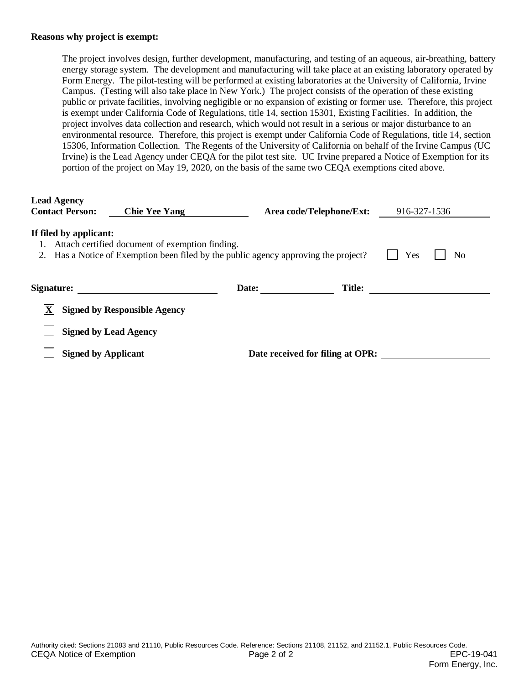#### **Reasons why project is exempt:**

The project involves design, further development, manufacturing, and testing of an aqueous, air-breathing, battery energy storage system. The development and manufacturing will take place at an existing laboratory operated by Form Energy. The pilot-testing will be performed at existing laboratories at the University of California, Irvine Campus. (Testing will also take place in New York.) The project consists of the operation of these existing public or private facilities, involving negligible or no expansion of existing or former use. Therefore, this project is exempt under California Code of Regulations, title 14, section 15301, Existing Facilities. In addition, the project involves data collection and research, which would not result in a serious or major disturbance to an environmental resource. Therefore, this project is exempt under California Code of Regulations, title 14, section 15306, Information Collection. The Regents of the University of California on behalf of the Irvine Campus (UC Irvine) is the Lead Agency under CEQA for the pilot test site. UC Irvine prepared a Notice of Exemption for its portion of the project on May 19, 2020, on the basis of the same two CEQA exemptions cited above.

| <b>Lead Agency</b><br><b>Contact Person:</b> | <b>Chie Yee Yang</b>                                                                                                                   |       | Area code/Telephone/Ext:         | 916-327-1536 |    |
|----------------------------------------------|----------------------------------------------------------------------------------------------------------------------------------------|-------|----------------------------------|--------------|----|
| If filed by applicant:                       | Attach certified document of exemption finding.<br>2. Has a Notice of Exemption been filed by the public agency approving the project? |       |                                  | Yes          | No |
| Signature:                                   |                                                                                                                                        | Date: | <b>Title:</b>                    |              |    |
| $ \mathbf{X} $                               | <b>Signed by Responsible Agency</b>                                                                                                    |       |                                  |              |    |
|                                              | <b>Signed by Lead Agency</b>                                                                                                           |       |                                  |              |    |
| <b>Signed by Applicant</b>                   |                                                                                                                                        |       | Date received for filing at OPR: |              |    |